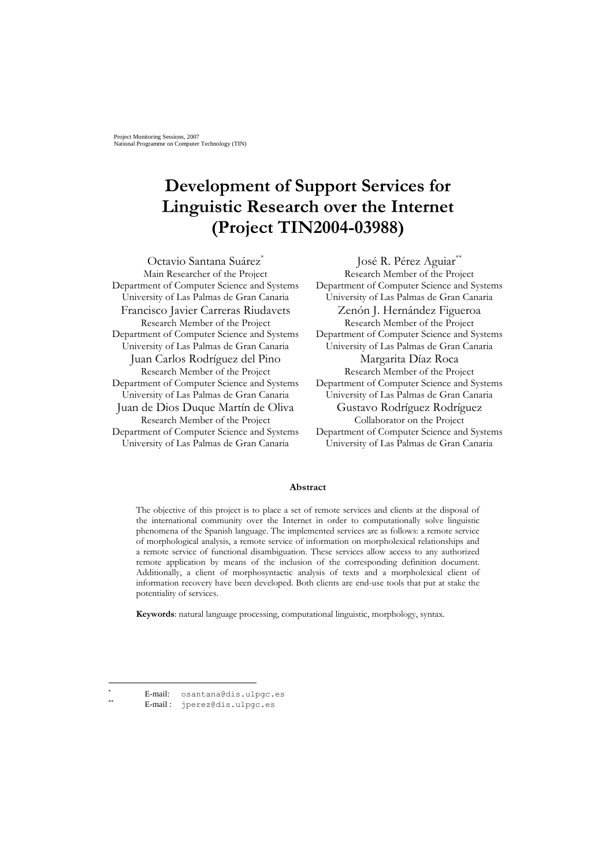# **Development of Support Services for Linguistic Research over the Internet (Project TIN2004-03988)**

Octavio Santana Suárez\* Main Researcher of the Project Department of Computer Science and Systems University of Las Palmas de Gran Canaria Francisco Javier Carreras Riudavets Research Member of the Project Department of Computer Science and Systems University of Las Palmas de Gran Canaria Juan Carlos Rodríguez del Pino Research Member of the Project Department of Computer Science and Systems University of Las Palmas de Gran Canaria Juan de Dios Duque Martín de Oliva Research Member of the Project Department of Computer Science and Systems University of Las Palmas de Gran Canaria

José R. Pérez Aguiar\*\* Research Member of the Project Department of Computer Science and Systems University of Las Palmas de Gran Canaria Zenón J. Hernández Figueroa Research Member of the Project Department of Computer Science and Systems University of Las Palmas de Gran Canaria Margarita Díaz Roca Research Member of the Project Department of Computer Science and Systems University of Las Palmas de Gran Canaria Gustavo Rodríguez Rodríguez Collaborator on the Project Department of Computer Science and Systems University of Las Palmas de Gran Canaria

#### **Abstract**

The objective of this project is to place a set of remote services and clients at the disposal of the international community over the Internet in order to computationally solve linguistic phenomena of the Spanish language. The implemented services are as follows: a remote service of morphological analysis, a remote service of information on morpholexical relationships and a remote service of functional disambiguation. These services allow access to any authorized remote application by means of the inclusion of the corresponding definition document. Additionally, a client of morphosyntactic analysis of texts and a morpholexical client of information recovery have been developed. Both clients are end-use tools that put at stake the potentiality of services.

**Keywords**: natural language processing, computational linguistic, morphology, syntax.

 $\overline{a}$ 

E-mail: osantana@dis.ulpgc.es

E-mail: jperez@dis.ulpgc.es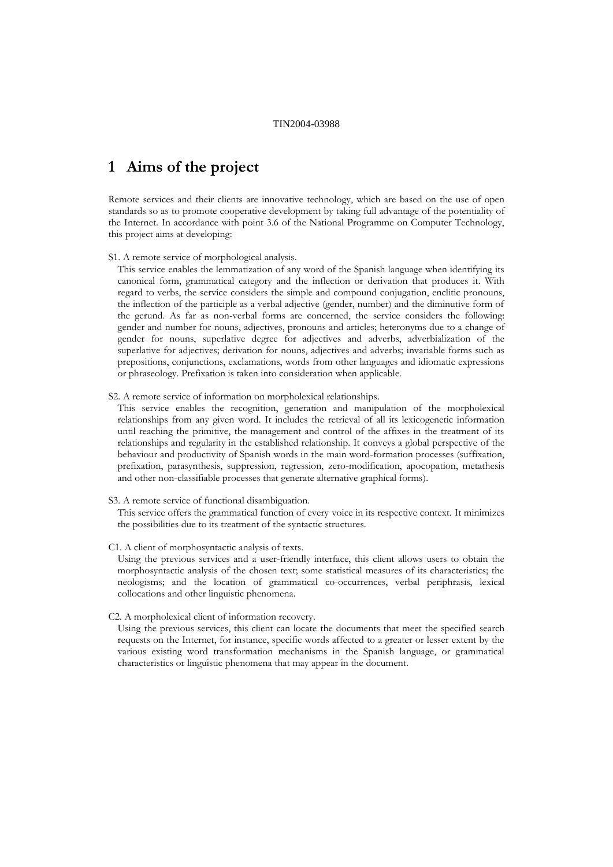# **1 Aims of the project**

Remote services and their clients are innovative technology, which are based on the use of open standards so as to promote cooperative development by taking full advantage of the potentiality of the Internet. In accordance with point 3.6 of the National Programme on Computer Technology, this project aims at developing:

#### S1. A remote service of morphological analysis.

This service enables the lemmatization of any word of the Spanish language when identifying its canonical form, grammatical category and the inflection or derivation that produces it. With regard to verbs, the service considers the simple and compound conjugation, enclitic pronouns, the inflection of the participle as a verbal adjective (gender, number) and the diminutive form of the gerund. As far as non-verbal forms are concerned, the service considers the following: gender and number for nouns, adjectives, pronouns and articles; heteronyms due to a change of gender for nouns, superlative degree for adjectives and adverbs, adverbialization of the superlative for adjectives; derivation for nouns, adjectives and adverbs; invariable forms such as prepositions, conjunctions, exclamations, words from other languages and idiomatic expressions or phraseology. Prefixation is taken into consideration when applicable.

### S2. A remote service of information on morpholexical relationships.

This service enables the recognition, generation and manipulation of the morpholexical relationships from any given word. It includes the retrieval of all its lexicogenetic information until reaching the primitive, the management and control of the affixes in the treatment of its relationships and regularity in the established relationship. It conveys a global perspective of the behaviour and productivity of Spanish words in the main word-formation processes (suffixation, prefixation, parasynthesis, suppression, regression, zero-modification, apocopation, metathesis and other non-classifiable processes that generate alternative graphical forms).

#### S3. A remote service of functional disambiguation.

This service offers the grammatical function of every voice in its respective context. It minimizes the possibilities due to its treatment of the syntactic structures.

#### C1. A client of morphosyntactic analysis of texts.

Using the previous services and a user-friendly interface, this client allows users to obtain the morphosyntactic analysis of the chosen text; some statistical measures of its characteristics; the neologisms; and the location of grammatical co-occurrences, verbal periphrasis, lexical collocations and other linguistic phenomena.

#### C2. A morpholexical client of information recovery.

Using the previous services, this client can locate the documents that meet the specified search requests on the Internet, for instance, specific words affected to a greater or lesser extent by the various existing word transformation mechanisms in the Spanish language, or grammatical characteristics or linguistic phenomena that may appear in the document.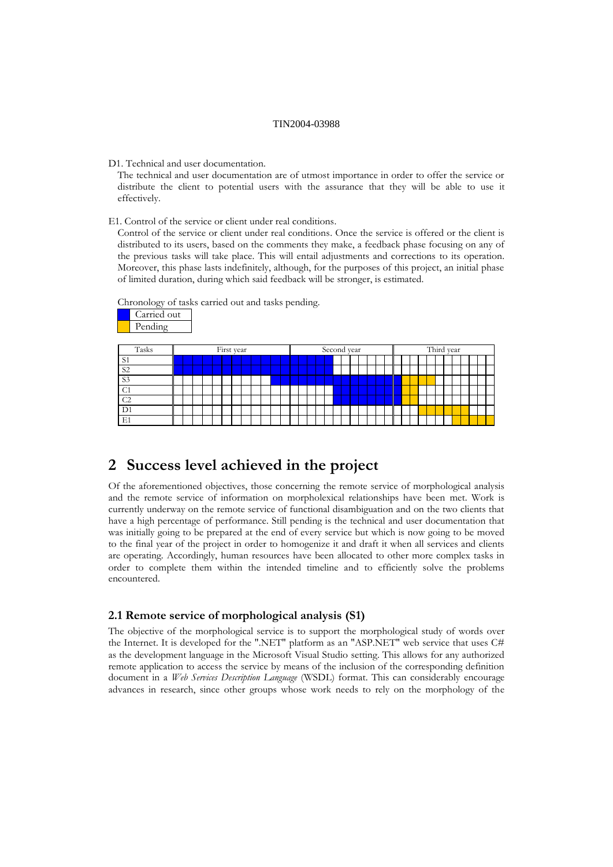D1. Technical and user documentation.

The technical and user documentation are of utmost importance in order to offer the service or distribute the client to potential users with the assurance that they will be able to use it effectively.

E1. Control of the service or client under real conditions.

Control of the service or client under real conditions. Once the service is offered or the client is distributed to its users, based on the comments they make, a feedback phase focusing on any of the previous tasks will take place. This will entail adjustments and corrections to its operation. Moreover, this phase lasts indefinitely, although, for the purposes of this project, an initial phase of limited duration, during which said feedback will be stronger, is estimated.

Chronology of tasks carried out and tasks pending.



# **2 Success level achieved in the project**

Of the aforementioned objectives, those concerning the remote service of morphological analysis and the remote service of information on morpholexical relationships have been met. Work is currently underway on the remote service of functional disambiguation and on the two clients that have a high percentage of performance. Still pending is the technical and user documentation that was initially going to be prepared at the end of every service but which is now going to be moved to the final year of the project in order to homogenize it and draft it when all services and clients are operating. Accordingly, human resources have been allocated to other more complex tasks in order to complete them within the intended timeline and to efficiently solve the problems encountered.

#### **2.1 Remote service of morphological analysis (S1)**

The objective of the morphological service is to support the morphological study of words over the Internet. It is developed for the ".NET" platform as an "ASP.NET" web service that uses C# as the development language in the Microsoft Visual Studio setting. This allows for any authorized remote application to access the service by means of the inclusion of the corresponding definition document in a *Web Services Description Language* (WSDL) format. This can considerably encourage advances in research, since other groups whose work needs to rely on the morphology of the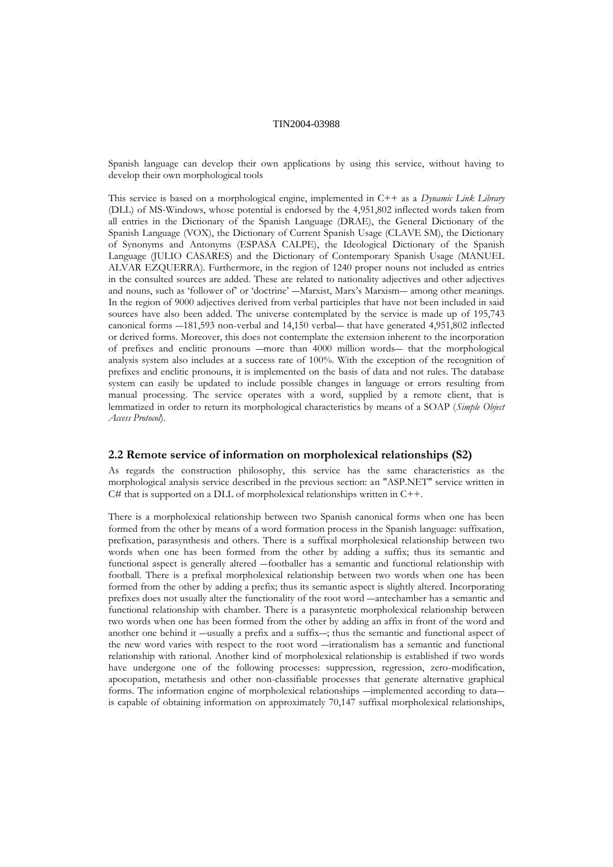Spanish language can develop their own applications by using this service, without having to develop their own morphological tools

This service is based on a morphological engine, implemented in C++ as a *Dynamic Link Library* (DLL) of MS-Windows, whose potential is endorsed by the 4,951,802 inflected words taken from all entries in the Dictionary of the Spanish Language (DRAE), the General Dictionary of the Spanish Language (VOX), the Dictionary of Current Spanish Usage (CLAVE SM), the Dictionary of Synonyms and Antonyms (ESPASA CALPE), the Ideological Dictionary of the Spanish Language (JULIO CASARES) and the Dictionary of Contemporary Spanish Usage (MANUEL ALVAR EZQUERRA). Furthermore, in the region of 1240 proper nouns not included as entries in the consulted sources are added. These are related to nationality adjectives and other adjectives and nouns, such as 'follower of' or 'doctrine' —Marxist, Marx's Marxism— among other meanings. In the region of 9000 adjectives derived from verbal participles that have not been included in said sources have also been added. The universe contemplated by the service is made up of 195,743 canonical forms ―181,593 non-verbal and 14,150 verbal― that have generated 4,951,802 inflected or derived forms. Moreover, this does not contemplate the extension inherent to the incorporation of prefixes and enclitic pronouns ―more than 4000 million words― that the morphological analysis system also includes at a success rate of 100%. With the exception of the recognition of prefixes and enclitic pronouns, it is implemented on the basis of data and not rules. The database system can easily be updated to include possible changes in language or errors resulting from manual processing. The service operates with a word, supplied by a remote client, that is lemmatized in order to return its morphological characteristics by means of a SOAP (*Simple Object Access Protocol*).

### **2.2 Remote service of information on morpholexical relationships (S2)**

As regards the construction philosophy, this service has the same characteristics as the morphological analysis service described in the previous section: an "ASP.NET" service written in  $C#$  that is supported on a DLL of morpholexical relationships written in  $C++$ .

There is a morpholexical relationship between two Spanish canonical forms when one has been formed from the other by means of a word formation process in the Spanish language: suffixation, prefixation, parasynthesis and others. There is a suffixal morpholexical relationship between two words when one has been formed from the other by adding a suffix; thus its semantic and functional aspect is generally altered ―footballer has a semantic and functional relationship with football. There is a prefixal morpholexical relationship between two words when one has been formed from the other by adding a prefix; thus its semantic aspect is slightly altered. Incorporating prefixes does not usually alter the functionality of the root word ―antechamber has a semantic and functional relationship with chamber. There is a parasyntetic morpholexical relationship between two words when one has been formed from the other by adding an affix in front of the word and another one behind it ―usually a prefix and a suffix―; thus the semantic and functional aspect of the new word varies with respect to the root word ―irrationalism has a semantic and functional relationship with rational. Another kind of morpholexical relationship is established if two words have undergone one of the following processes: suppression, regression, zero-modification, apocopation, metathesis and other non-classifiable processes that generate alternative graphical forms. The information engine of morpholexical relationships —implemented according to data is capable of obtaining information on approximately 70,147 suffixal morpholexical relationships,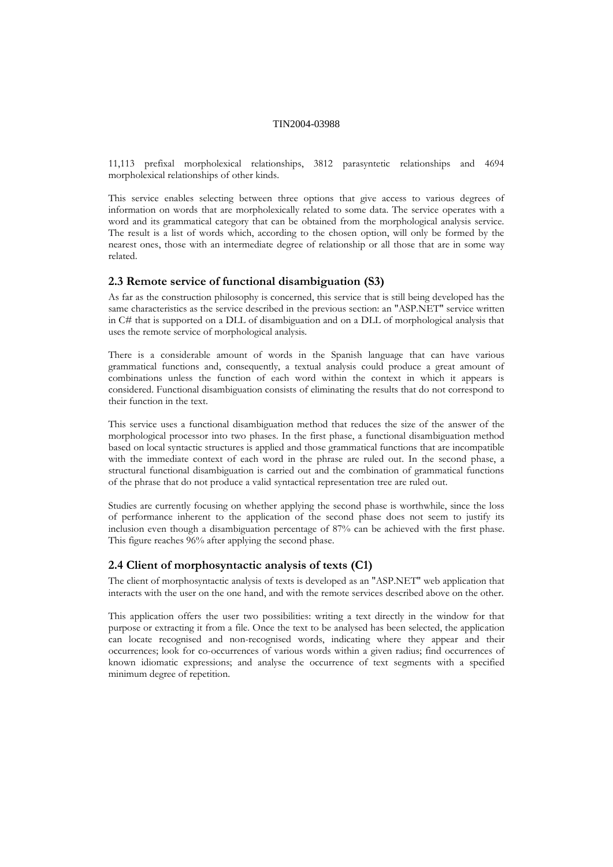11,113 prefixal morpholexical relationships, 3812 parasyntetic relationships and 4694 morpholexical relationships of other kinds.

This service enables selecting between three options that give access to various degrees of information on words that are morpholexically related to some data. The service operates with a word and its grammatical category that can be obtained from the morphological analysis service. The result is a list of words which, according to the chosen option, will only be formed by the nearest ones, those with an intermediate degree of relationship or all those that are in some way related.

#### **2.3 Remote service of functional disambiguation (S3)**

As far as the construction philosophy is concerned, this service that is still being developed has the same characteristics as the service described in the previous section: an "ASP.NET" service written in C# that is supported on a DLL of disambiguation and on a DLL of morphological analysis that uses the remote service of morphological analysis.

There is a considerable amount of words in the Spanish language that can have various grammatical functions and, consequently, a textual analysis could produce a great amount of combinations unless the function of each word within the context in which it appears is considered. Functional disambiguation consists of eliminating the results that do not correspond to their function in the text.

This service uses a functional disambiguation method that reduces the size of the answer of the morphological processor into two phases. In the first phase, a functional disambiguation method based on local syntactic structures is applied and those grammatical functions that are incompatible with the immediate context of each word in the phrase are ruled out. In the second phase, a structural functional disambiguation is carried out and the combination of grammatical functions of the phrase that do not produce a valid syntactical representation tree are ruled out.

Studies are currently focusing on whether applying the second phase is worthwhile, since the loss of performance inherent to the application of the second phase does not seem to justify its inclusion even though a disambiguation percentage of 87% can be achieved with the first phase. This figure reaches 96% after applying the second phase.

#### **2.4 Client of morphosyntactic analysis of texts (C1)**

The client of morphosyntactic analysis of texts is developed as an "ASP.NET" web application that interacts with the user on the one hand, and with the remote services described above on the other.

This application offers the user two possibilities: writing a text directly in the window for that purpose or extracting it from a file. Once the text to be analysed has been selected, the application can locate recognised and non-recognised words, indicating where they appear and their occurrences; look for co-occurrences of various words within a given radius; find occurrences of known idiomatic expressions; and analyse the occurrence of text segments with a specified minimum degree of repetition.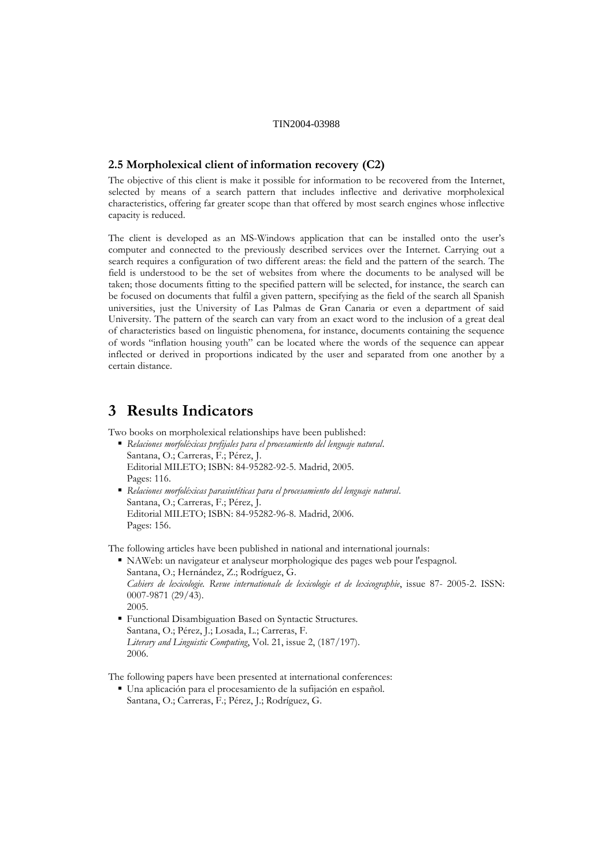#### **2.5 Morpholexical client of information recovery (C2)**

The objective of this client is make it possible for information to be recovered from the Internet, selected by means of a search pattern that includes inflective and derivative morpholexical characteristics, offering far greater scope than that offered by most search engines whose inflective capacity is reduced.

The client is developed as an MS-Windows application that can be installed onto the user's computer and connected to the previously described services over the Internet. Carrying out a search requires a configuration of two different areas: the field and the pattern of the search. The field is understood to be the set of websites from where the documents to be analysed will be taken; those documents fitting to the specified pattern will be selected, for instance, the search can be focused on documents that fulfil a given pattern, specifying as the field of the search all Spanish universities, just the University of Las Palmas de Gran Canaria or even a department of said University. The pattern of the search can vary from an exact word to the inclusion of a great deal of characteristics based on linguistic phenomena, for instance, documents containing the sequence of words "inflation housing youth" can be located where the words of the sequence can appear inflected or derived in proportions indicated by the user and separated from one another by a certain distance.

# **3 Results Indicators**

Two books on morpholexical relationships have been published:

- *Relaciones morfoléxicas prefijales para el procesamiento del lenguaje natural*. Santana, O.; Carreras, F.; Pérez, J. Editorial MILETO; ISBN: 84-95282-92-5. Madrid, 2005. Pages: 116.
- *Relaciones morfoléxicas parasintéticas para el procesamiento del lenguaje natural*. Santana, O.; Carreras, F.; Pérez, J. Editorial MILETO; ISBN: 84-95282-96-8. Madrid, 2006. Pages: 156.

The following articles have been published in national and international journals:

 NAWeb: un navigateur et analyseur morphologique des pages web pour l'espagnol. Santana, O.; Hernández, Z.; Rodríguez, G. *Cahiers de lexicologie. Revue internationale de lexicologie et de lexicographie*, issue 87- 2005-2. ISSN: 0007-9871 (29/43). 2005.

 Functional Disambiguation Based on Syntactic Structures. Santana, O.; Pérez, J.; Losada, L.; Carreras, F. *Literary and Linguistic Computing*, Vol. 21, issue 2, (187/197). 2006.

The following papers have been presented at international conferences:

 Una aplicación para el procesamiento de la sufijación en español. Santana, O.; Carreras, F.; Pérez, J.; Rodríguez, G.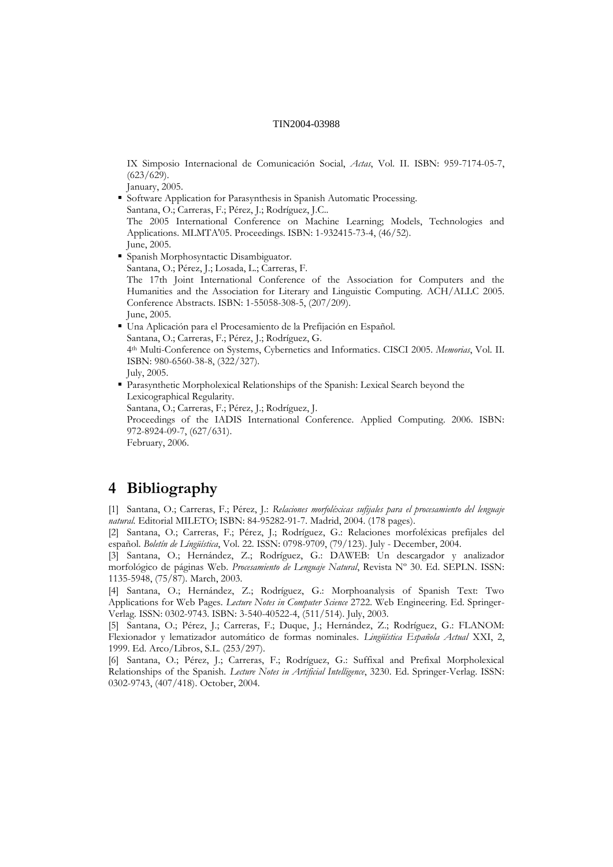IX Simposio Internacional de Comunicación Social, *Actas*, Vol. II. ISBN: 959-7174-05-7,  $(623/629)$ .

January, 2005.

- Software Application for Parasynthesis in Spanish Automatic Processing. Santana, O.; Carreras, F.; Pérez, J.; Rodríguez, J.C.. The 2005 International Conference on Machine Learning; Models, Technologies and Applications. MLMTA'05. Proceedings. ISBN: 1-932415-73-4, (46/52). June, 2005.
- Spanish Morphosyntactic Disambiguator. Santana, O.; Pérez, J.; Losada, L.; Carreras, F. The 17th Joint International Conference of the Association for Computers and the Humanities and the Association for Literary and Linguistic Computing. ACH/ALLC 2005. Conference Abstracts. ISBN: 1-55058-308-5, (207/209). June, 2005.
- Una Aplicación para el Procesamiento de la Prefijación en Español. Santana, O.; Carreras, F.; Pérez, J.; Rodríguez, G. 4 th Multi-Conference on Systems, Cybernetics and Informatics. CISCI 2005. *Memorias*, Vol. II. ISBN: 980-6560-38-8, (322/327). July, 2005. Parasynthetic Morpholexical Relationships of the Spanish: Lexical Search beyond the

Lexicographical Regularity. Santana, O.; Carreras, F.; Pérez, J.; Rodríguez, J.

Proceedings of the IADIS International Conference. Applied Computing. 2006. ISBN: 972-8924-09-7, (627/631). February, 2006.

# **4 Bibliography**

[1] Santana, O.; Carreras, F.; Pérez, J.: *Relaciones morfoléxicas sufijales para el procesamiento del lenguaje natural*. Editorial MILETO; ISBN: 84-95282-91-7. Madrid, 2004. (178 pages).

[2] Santana, O.; Carreras, F.; Pérez, J.; Rodríguez, G.: Relaciones morfoléxicas prefijales del español. *Boletín de Língüística*, Vol. 22. ISSN: 0798-9709, (79/123). July - December, 2004.

[3] Santana, O.; Hernández, Z.; Rodríguez, G.: DAWEB: Un descargador y analizador morfológico de páginas Web. *Procesamiento de Lenguaje Natural*, Revista Nº 30. Ed. SEPLN. ISSN: 1135-5948, (75/87). March, 2003.

[4] Santana, O.; Hernández, Z.; Rodríguez, G.: Morphoanalysis of Spanish Text: Two Applications for Web Pages. *Lecture Notes in Computer Science* 2722. Web Engineering. Ed. Springer-Verlag. ISSN: 0302-9743. ISBN: 3-540-40522-4, (511/514). July, 2003.

[5] Santana, O.; Pérez, J.; Carreras, F.; Duque, J.; Hernández, Z.; Rodríguez, G.: FLANOM: Flexionador y lematizador automático de formas nominales. *Lingüística Española Actual* XXI, 2, 1999. Ed. Arco/Libros, S.L. (253/297).

[6] Santana, O.; Pérez, J.; Carreras, F.; Rodríguez, G.: Suffixal and Prefixal Morpholexical Relationships of the Spanish. *Lecture Notes in Artificial Intelligence*, 3230. Ed. Springer-Verlag. ISSN: 0302-9743, (407/418). October, 2004.